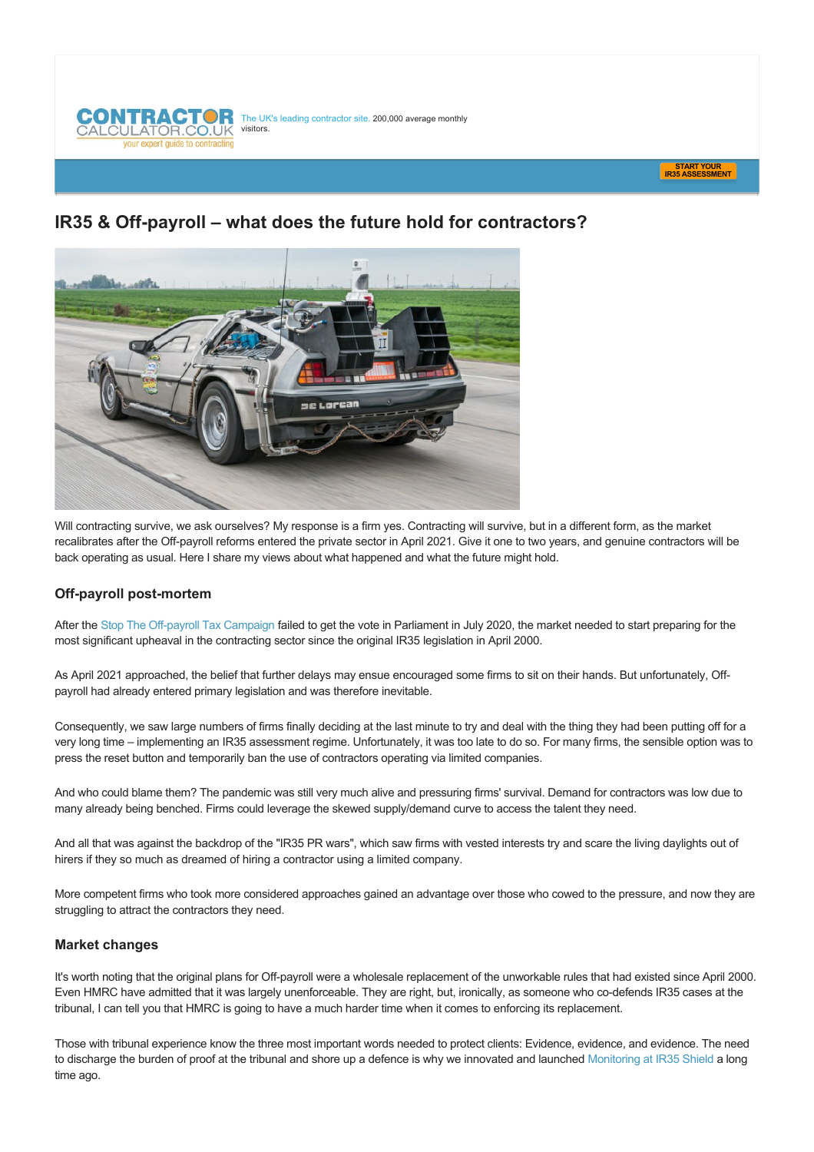



# **IR35 & Off-payroll – what does the future hold for contractors?**



Will contracting survive, we ask ourselves? My response is a firm yes. Contracting will survive, but in a different form, as the market recalibrates after the Off-payroll reforms entered the private sector in April 2021. Give it one to two years, and genuine contractors will be back operating as usual. Here I share my views about what happened and what the future might hold.

# **Off-payroll post-mortem**

After the Stop The Off-payroll Tax Campaign failed to get the vote in Parliament in July 2020, the market needed to start preparing for the most significant upheaval in the contracting sector since the original IR35 legislation in April 2000.

As April 2021 approached, the belief that further delays may ensue encouraged some firms to sit on their hands. But unfortunately, Offpayroll had already entered primary legislation and was therefore inevitable.

Consequently, we saw large numbers of firms finally deciding at the last minute to try and deal with the thing they had been putting off for a very long time – implementing an IR35 assessment regime. Unfortunately, it was too late to do so. For many firms, the sensible option was to press the reset button and temporarily ban the use of contractors operating via limited companies.

And who could blame them? The pandemic was still very much alive and pressuring firms' survival. Demand for contractors was low due to many already being benched. Firms could leverage the skewed supply/demand curve to access the talent they need.

And all that was against the backdrop of the "IR35 PR wars", which saw firms with vested interests try and scare the living daylights out of hirers if they so much as dreamed of hiring a contractor using a limited company.

More competent firms who took more considered approaches gained an advantage over those who cowed to the pressure, and now they are struggling to attract the contractors they need.

# **Market changes**

It's worth noting that the original plans for Off-payroll were a wholesale replacement of the unworkable rules that had existed since April 2000. Even HMRC have admitted that it was largely unenforceable. They are right, but, ironically, as someone who co-defends IR35 cases at the tribunal, I can tell you that HMRC is going to have a much harder time when it comes to enforcing its replacement.

Those with tribunal experience know the three most important words needed to protect clients: Evidence, evidence, and evidence. The need to discharge the burden of proof at the tribunal and shore up a defence is why we innovated and launched [Monitoring at IR35 Shield](https://www.ir35shield.co.uk/Features/Monitoring) a long time ago.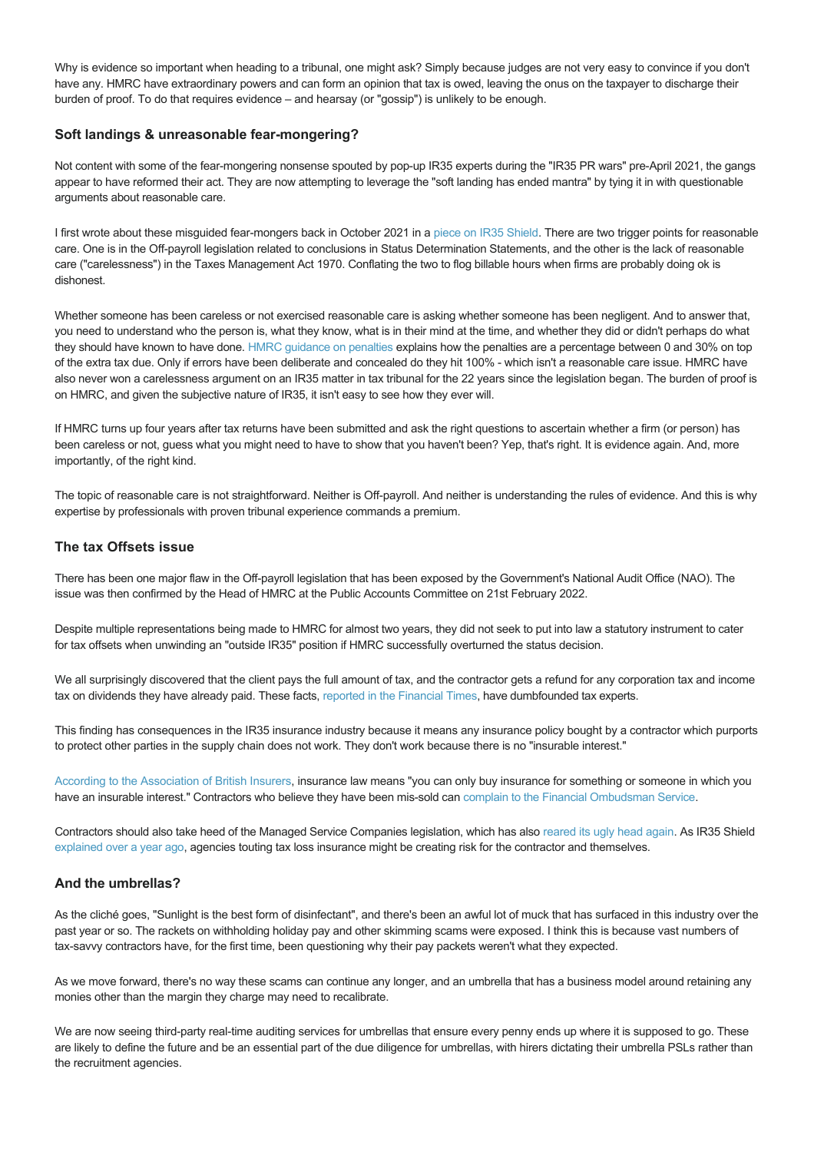Why is evidence so important when heading to a tribunal, one might ask? Simply because judges are not very easy to convince if you don't have any. HMRC have extraordinary powers and can form an opinion that tax is owed, leaving the onus on the taxpayer to discharge their burden of proof. To do that requires evidence – and hearsay (or "gossip") is unlikely to be enough.

## **Soft landings & unreasonable fear-mongering?**

Not content with some of the fear-mongering nonsense spouted by pop-up IR35 experts during the "IR35 PR wars" pre-April 2021, the gangs appear to have reformed their act. They are now attempting to leverage the "soft landing has ended mantra" by tying it in with questionable arguments about reasonable care.

I first wrote about these misguided fear-mongers back in October 2021 in a [piece on IR35 Shield.](https://www.ir35shield.co.uk/Articles/Article/off-payroll-working-the-voice-of-reasonable-care) There are two trigger points for reasonable care. One is in the Off-payroll legislation related to conclusions in Status Determination Statements, and the other is the lack of reasonable care ("carelessness") in the Taxes Management Act 1970. Conflating the two to flog billable hours when firms are probably doing ok is dishonest.

Whether someone has been careless or not exercised reasonable care is asking whether someone has been negligent. And to answer that, you need to understand who the person is, what they know, what is in their mind at the time, and whether they did or didn't perhaps do what they should have known to have done. [HMRC guidance on penalties](https://www.gov.uk/guidance/penalties-an-overview-for-agents-and-advisers) explains how the penalties are a percentage between 0 and 30% on top of the extra tax due. Only if errors have been deliberate and concealed do they hit 100% which isn't a reasonable care issue. HMRC have also never won a carelessness argument on an IR35 matter in tax tribunal for the 22 years since the legislation began. The burden of proof is on HMRC, and given the subjective nature of IR35, it isn't easy to see how they ever will.

If HMRC turns up four years after tax returns have been submitted and ask the right questions to ascertain whether a firm (or person) has been careless or not, guess what you might need to have to show that you haven't been? Yep, that's right. It is evidence again. And, more importantly, of the right kind.

The topic of reasonable care is not straightforward. Neither is Off-payroll. And neither is understanding the rules of evidence. And this is why expertise by professionals with proven tribunal experience commands a premium.

### **The tax Offsets issue**

There has been one major flaw in the Off-payroll legislation that has been exposed by the Government's National Audit Office (NAO). The issue was then confirmed by the Head of HMRC at the Public Accounts Committee on 21st February 2022.

Despite multiple representations being made to HMRC for almost two years, they did not seek to put into law a statutory instrument to cater for tax offsets when unwinding an "outside IR35" position if HMRC successfully overturned the status decision.

We all surprisingly discovered that the client pays the full amount of tax, and the contractor gets a refund for any corporation tax and income tax on dividends they have already paid. These facts, [reported in the Financial Times,](https://www.ft.com/content/4538f628-ae31-455c-9d98-0b386c8bc1ae) have dumbfounded tax experts.

This finding has consequences in the IR35 insurance industry because it means any insurance policy bought by a contractor which purports to protect other parties in the supply chain does not work. They don't work because there is no "insurable interest."

[According to the Association of British Insurers](https://www.abi.org.uk/data-and-resources/tools-and-resources/glossary/insurable-interest/), insurance law means "you can only buy insurance for something or someone in which you have an insurable interest." Contractors who believe they have been mis-sold can [complain to the Financial Ombudsman Service](https://www.financial-ombudsman.org.uk/consumers/complaints-can-help/insurance).

Contractors should also take heed of the Managed Service Companies legislation, which has also [reared its ugly head again.](https://www.contractorcalculator.co.uk/breaking_hmrc_think_youre_managed_service_company_565710_news.aspx) As IR35 Shield [explained over a year ago,](https://www.ir35shield.co.uk/Articles/Article/agencies-touting-ir35-insurance-should-consider-the-managed-service-company-legislation) agencies touting tax loss insurance might be creating risk for the contractor and themselves.

### **And the umbrellas?**

As the cliché goes, "Sunlight is the best form of disinfectant", and there's been an awful lot of muck that has surfaced in this industry over the past year or so. The rackets on withholding holiday pay and other skimming scams were exposed. I think this is because vast numbers of tax-savvy contractors have, for the first time, been questioning why their pay packets weren't what they expected.

As we move forward, there's no way these scams can continue any longer, and an umbrella that has a business model around retaining any monies other than the margin they charge may need to recalibrate.

We are now seeing third-party real-time auditing services for umbrellas that ensure every penny ends up where it is supposed to go. These are likely to define the future and be an essential part of the due diligence for umbrellas, with hirers dictating their umbrella PSLs rather than the recruitment agencies.